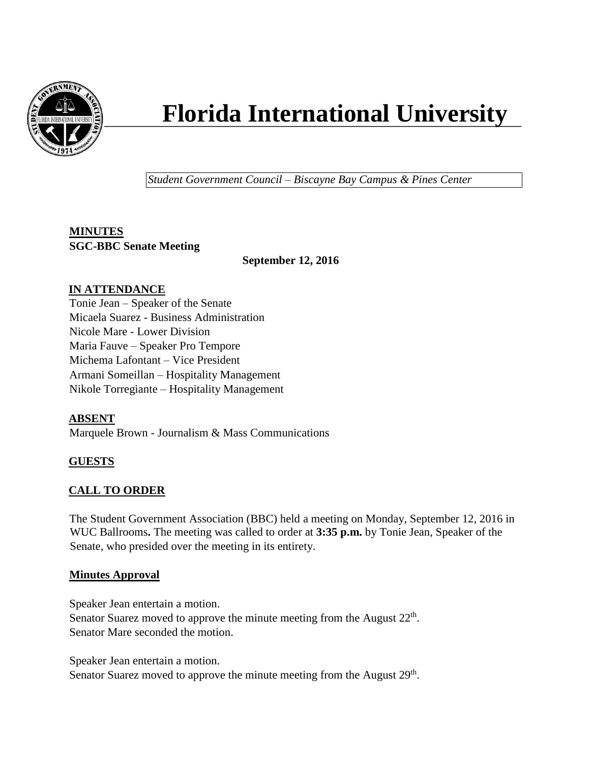

# **Florida International University**

*Student Government Council – Biscayne Bay Campus & Pines Center*

# **MINUTES SGC-BBC Senate Meeting**

 **September 12, 2016**

# **IN ATTENDANCE**

Tonie Jean – Speaker of the Senate Micaela Suarez - Business Administration Nicole Mare - Lower Division Maria Fauve – Speaker Pro Tempore Michema Lafontant – Vice President Armani Someillan – Hospitality Management Nikole Torregiante – Hospitality Management

# **ABSENT**

Marquele Brown - Journalism & Mass Communications

# **GUESTS**

# **CALL TO ORDER**

The Student Government Association (BBC) held a meeting on Monday, September 12, 2016 in WUC Ballrooms**.** The meeting was called to order at **3:35 p.m.** by Tonie Jean, Speaker of the Senate, who presided over the meeting in its entirety.

## **Minutes Approval**

Speaker Jean entertain a motion. Senator Suarez moved to approve the minute meeting from the August  $22<sup>th</sup>$ . Senator Mare seconded the motion.

Speaker Jean entertain a motion.

Senator Suarez moved to approve the minute meeting from the August 29<sup>th</sup>.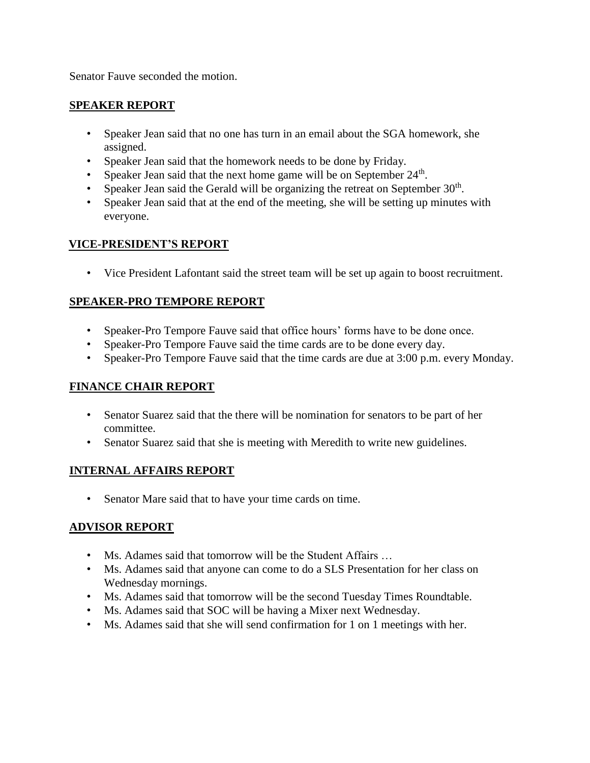Senator Fauve seconded the motion.

### **SPEAKER REPORT**

- Speaker Jean said that no one has turn in an email about the SGA homework, she assigned.
- Speaker Jean said that the homework needs to be done by Friday.
- Speaker Jean said that the next home game will be on September  $24<sup>th</sup>$ .
- Speaker Jean said the Gerald will be organizing the retreat on September  $30<sup>th</sup>$ .
- Speaker Jean said that at the end of the meeting, she will be setting up minutes with everyone.

## **VICE-PRESIDENT'S REPORT**

• Vice President Lafontant said the street team will be set up again to boost recruitment.

## **SPEAKER-PRO TEMPORE REPORT**

- Speaker-Pro Tempore Fauve said that office hours' forms have to be done once.
- Speaker-Pro Tempore Fauve said the time cards are to be done every day.
- Speaker-Pro Tempore Fauve said that the time cards are due at 3:00 p.m. every Monday.

## **FINANCE CHAIR REPORT**

- Senator Suarez said that the there will be nomination for senators to be part of her committee.
- Senator Suarez said that she is meeting with Meredith to write new guidelines.

## **INTERNAL AFFAIRS REPORT**

• Senator Mare said that to have your time cards on time.

## **ADVISOR REPORT**

- Ms. Adames said that tomorrow will be the Student Affairs ...
- Ms. Adames said that anyone can come to do a SLS Presentation for her class on Wednesday mornings.
- Ms. Adames said that tomorrow will be the second Tuesday Times Roundtable.
- Ms. Adames said that SOC will be having a Mixer next Wednesday.
- Ms. Adames said that she will send confirmation for 1 on 1 meetings with her.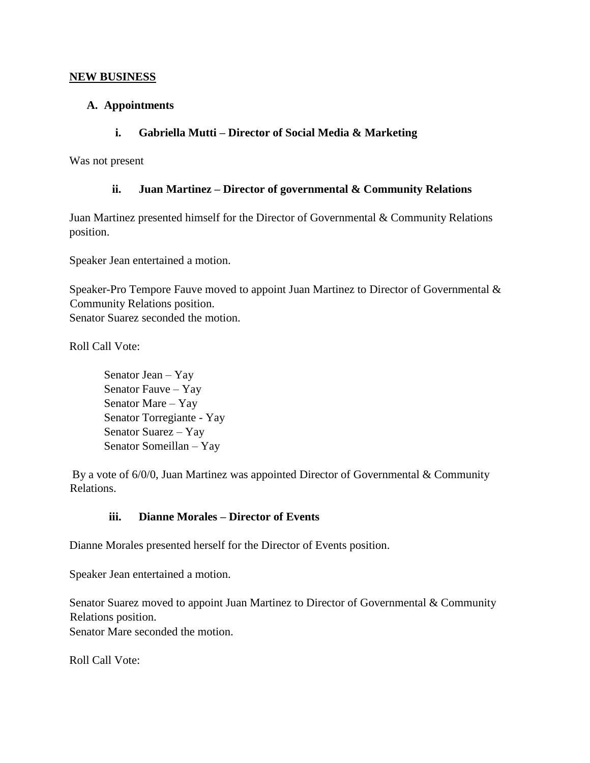#### **NEW BUSINESS**

#### **A. Appointments**

### **i. Gabriella Mutti – Director of Social Media & Marketing**

Was not present

#### **ii. Juan Martinez – Director of governmental & Community Relations**

Juan Martinez presented himself for the Director of Governmental & Community Relations position.

Speaker Jean entertained a motion.

Speaker-Pro Tempore Fauve moved to appoint Juan Martinez to Director of Governmental & Community Relations position. Senator Suarez seconded the motion.

Roll Call Vote:

Senator Jean – Yay Senator Fauve – Yay Senator Mare – Yay Senator Torregiante - Yay Senator Suarez – Yay Senator Someillan – Yay

By a vote of 6/0/0, Juan Martinez was appointed Director of Governmental & Community Relations.

## **iii. Dianne Morales – Director of Events**

Dianne Morales presented herself for the Director of Events position.

Speaker Jean entertained a motion.

Senator Suarez moved to appoint Juan Martinez to Director of Governmental & Community Relations position. Senator Mare seconded the motion.

Roll Call Vote: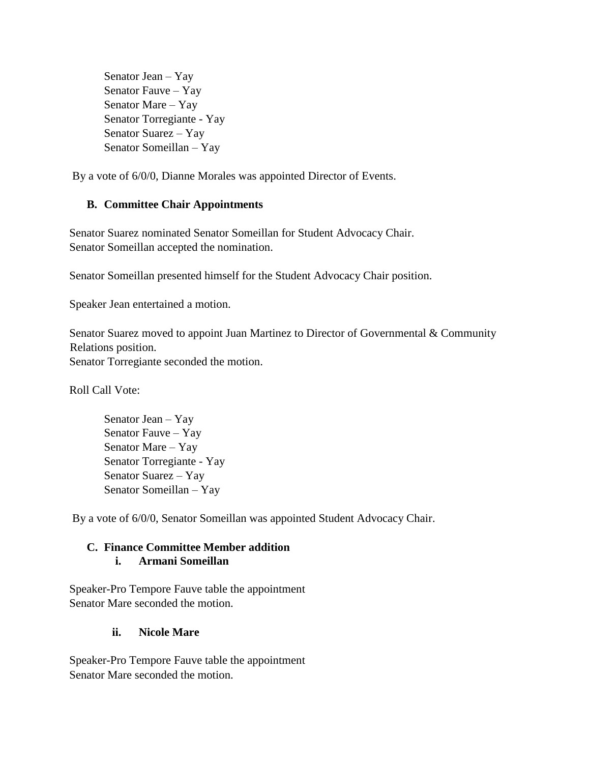Senator Jean – Yay Senator Fauve – Yay Senator Mare – Yay Senator Torregiante - Yay Senator Suarez – Yay Senator Someillan – Yay

By a vote of 6/0/0, Dianne Morales was appointed Director of Events.

## **B. Committee Chair Appointments**

Senator Suarez nominated Senator Someillan for Student Advocacy Chair. Senator Someillan accepted the nomination.

Senator Someillan presented himself for the Student Advocacy Chair position.

Speaker Jean entertained a motion.

Senator Suarez moved to appoint Juan Martinez to Director of Governmental & Community Relations position. Senator Torregiante seconded the motion.

Roll Call Vote:

Senator Jean – Yay Senator Fauve – Yay Senator Mare – Yay Senator Torregiante - Yay Senator Suarez – Yay Senator Someillan – Yay

By a vote of 6/0/0, Senator Someillan was appointed Student Advocacy Chair.

## **C. Finance Committee Member addition i. Armani Someillan**

Speaker-Pro Tempore Fauve table the appointment Senator Mare seconded the motion.

## **ii. Nicole Mare**

Speaker-Pro Tempore Fauve table the appointment Senator Mare seconded the motion.